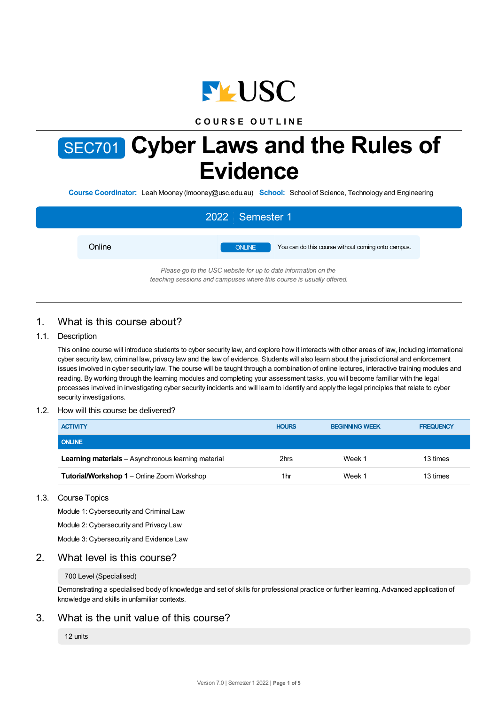

## **C O U R S E O U T L I N E**

# SEC701 **Cyber Laws and the Rules of Evidence**

**Course Coordinator:** Leah Mooney (lmooney@usc.edu.au) **School:** School of Science, Technology and Engineering

|        | 2022 Semester 1                                                                                                                        |
|--------|----------------------------------------------------------------------------------------------------------------------------------------|
| Online | <b>ONLINE</b><br>You can do this course without coming onto campus.                                                                    |
|        | Please go to the USC website for up to date information on the<br>teaching sessions and campuses where this course is usually offered. |

# 1. What is this course about?

### 1.1. Description

This online course will introduce students to cyber security law, and explore how it interacts with other areas of law, including international cyber security law, criminal law, privacy law and the law of evidence. Students will also learn about the jurisdictional and enforcement issues involved in cyber security law. The course will be taught through a combination of online lectures, interactive training modules and reading. By working through the learning modules and completing your assessment tasks, you will become familiar with the legal processes involved in investigating cyber security incidents and will learn to identify and apply the legal principles that relate to cyber security investigations.

### 1.2. How will this course be delivered?

| <b>ACTIVITY</b>                                            | <b>HOURS</b> | <b>BEGINNING WEEK</b> | <b>FREQUENCY</b> |
|------------------------------------------------------------|--------------|-----------------------|------------------|
| <b>ONLINE</b>                                              |              |                       |                  |
| <b>Learning materials</b> - Asynchronous learning material | 2hrs         | Week 1                | 13 times         |
| Tutorial/Workshop 1 - Online Zoom Workshop                 | 1hr          | Week 1                | 13 times         |

### 1.3. Course Topics

Module 1: Cybersecurity and Criminal Law

Module 2: Cybersecurity and Privacy Law

Module 3: Cybersecurity and Evidence Law

## 2. What level is this course?

### 700 Level (Specialised)

Demonstrating a specialised body of knowledge and set of skills for professional practice or further learning. Advanced application of knowledge and skills in unfamiliar contexts.

### 3. What is the unit value of this course?

### 12 units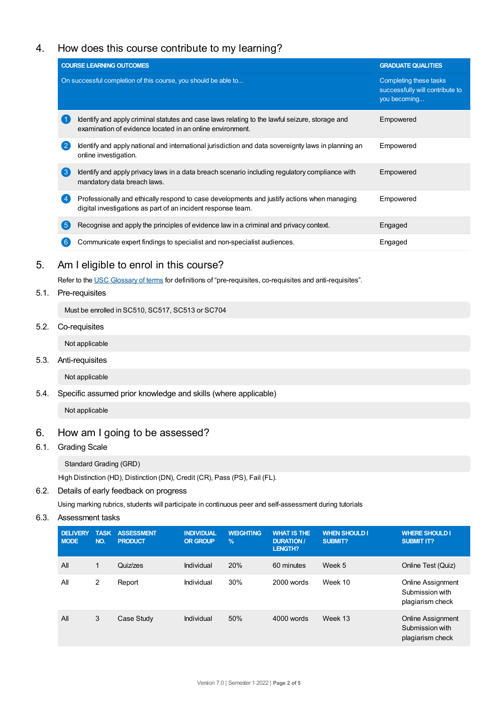# 4. How does this course contribute to my learning?

|     | <b>COURSE LEARNING OUTCOMES</b>                                                                                                                             | <b>GRADUATE QUALITIES</b>                                                 |  |
|-----|-------------------------------------------------------------------------------------------------------------------------------------------------------------|---------------------------------------------------------------------------|--|
|     | On successful completion of this course, you should be able to                                                                                              | Completing these tasks<br>successfully will contribute to<br>you becoming |  |
|     | Identify and apply criminal statutes and case laws relating to the lawful seizure, storage and<br>examination of evidence located in an online environment. | Empowered                                                                 |  |
|     | Identify and apply national and international jurisdiction and data sovereignty laws in planning an<br>online investigation.                                | Empowered                                                                 |  |
| 【3】 | Identify and apply privacy laws in a data breach scenario including regulatory compliance with<br>mandatory data breach laws.                               | Empowered                                                                 |  |
|     | Professionally and ethically respond to case developments and justify actions when managing<br>digital investigations as part of an incident response team. | Empowered                                                                 |  |
| 5   | Recognise and apply the principles of evidence law in a criminal and privacy context.                                                                       | Engaged                                                                   |  |
|     | Communicate expert findings to specialist and non-specialist audiences.                                                                                     | Engaged                                                                   |  |
|     |                                                                                                                                                             |                                                                           |  |

# 5. Am Ieligible to enrol in this course?

Refer to the USC [Glossary](https://www.usc.edu.au/about/policies-and-procedures/glossary-of-terms-for-policy-and-procedures) of terms for definitions of "pre-requisites, co-requisites and anti-requisites".

### 5.1. Pre-requisites

Must be enrolled in SC510, SC517, SC513 or SC704

5.2. Co-requisites

Not applicable

5.3. Anti-requisites

Not applicable

5.4. Specific assumed prior knowledge and skills (where applicable)

Not applicable

# 6. How am Igoing to be assessed?

### 6.1. Grading Scale

Standard Grading (GRD)

High Distinction (HD), Distinction (DN), Credit (CR), Pass (PS), Fail (FL).

## 6.2. Details of early feedback on progress

Using marking rubrics, students will participate in continuous peer and self-assessment during tutorials

6.3. Assessment tasks

| <b>DELIVERY</b><br><b>MODE</b> | <b>TASK</b><br>NO. | <b>ASSESSMENT</b><br><b>PRODUCT</b> | <b>INDIVIDUAL</b><br><b>OR GROUP</b> | <b>WEIGHTING</b><br>$\%$ | <b>WHAT IS THE</b><br><b>DURATION /</b><br><b>LENGTH?</b> | <b>WHEN SHOULD I</b><br><b>SUBMIT?</b> | <b>WHERE SHOULD I</b><br><b>SUBMIT IT?</b>                      |
|--------------------------------|--------------------|-------------------------------------|--------------------------------------|--------------------------|-----------------------------------------------------------|----------------------------------------|-----------------------------------------------------------------|
| All                            | 1                  | Quiz/zes                            | Individual                           | 20%                      | 60 minutes                                                | Week 5                                 | Online Test (Quiz)                                              |
| All                            | 2                  | Report                              | Individual                           | 30%                      | 2000 words                                                | Week 10                                | <b>Online Assignment</b><br>Submission with<br>plagiarism check |
| All                            | 3                  | Case Study                          | Individual                           | 50%                      | 4000 words                                                | Week 13                                | <b>Online Assignment</b><br>Submission with<br>plagiarism check |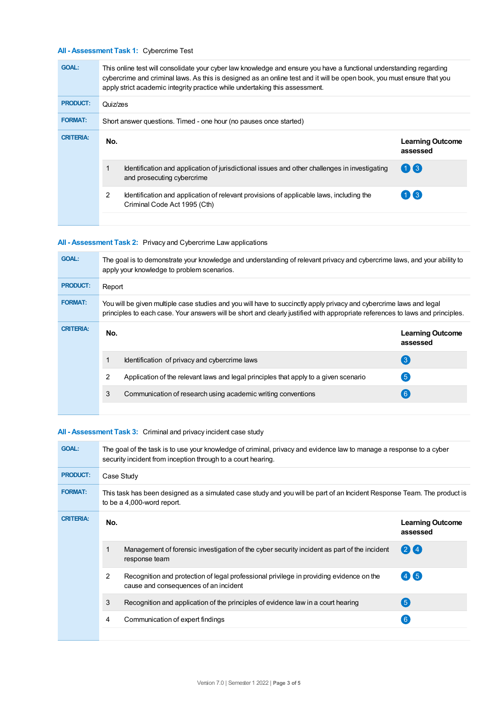### **All - Assessment Task 1:** Cybercrime Test

| <b>GOAL:</b>     | This online test will consolidate your cyber law knowledge and ensure you have a functional understanding regarding<br>cybercrime and criminal laws. As this is designed as an online test and it will be open book, you must ensure that you<br>apply strict academic integrity practice while undertaking this assessment. |                                                                                                                             |                                     |  |  |
|------------------|------------------------------------------------------------------------------------------------------------------------------------------------------------------------------------------------------------------------------------------------------------------------------------------------------------------------------|-----------------------------------------------------------------------------------------------------------------------------|-------------------------------------|--|--|
| <b>PRODUCT:</b>  | Quiz/zes                                                                                                                                                                                                                                                                                                                     |                                                                                                                             |                                     |  |  |
| <b>FORMAT:</b>   | Short answer questions. Timed - one hour (no pauses once started)                                                                                                                                                                                                                                                            |                                                                                                                             |                                     |  |  |
| <b>CRITERIA:</b> | No.                                                                                                                                                                                                                                                                                                                          |                                                                                                                             | <b>Learning Outcome</b><br>assessed |  |  |
|                  |                                                                                                                                                                                                                                                                                                                              | Identification and application of jurisdictional issues and other challenges in investigating<br>and prosecuting cybercrime | $(1)$ $(3)$                         |  |  |
|                  | 2                                                                                                                                                                                                                                                                                                                            | Identification and application of relevant provisions of applicable laws, including the<br>Criminal Code Act 1995 (Cth)     | $1$ $\bf{X}$ 3                      |  |  |
|                  |                                                                                                                                                                                                                                                                                                                              |                                                                                                                             |                                     |  |  |

### **All - Assessment Task 2:** Privacy and Cybercrime Law applications

| <b>GOAL:</b>     | The goal is to demonstrate your knowledge and understanding of relevant privacy and cybercrime laws, and your ability to<br>apply your knowledge to problem scenarios.                                                                               |                                                                                      |                                     |  |  |
|------------------|------------------------------------------------------------------------------------------------------------------------------------------------------------------------------------------------------------------------------------------------------|--------------------------------------------------------------------------------------|-------------------------------------|--|--|
| <b>PRODUCT:</b>  | Report                                                                                                                                                                                                                                               |                                                                                      |                                     |  |  |
| <b>FORMAT:</b>   | You will be given multiple case studies and you will have to succinctly apply privacy and cybercrime laws and legal<br>principles to each case. Your answers will be short and clearly justified with appropriate references to laws and principles. |                                                                                      |                                     |  |  |
| <b>CRITERIA:</b> | No.                                                                                                                                                                                                                                                  |                                                                                      | <b>Learning Outcome</b><br>assessed |  |  |
|                  |                                                                                                                                                                                                                                                      | Identification of privacy and cybercrime laws                                        | $\mathbf{3}$                        |  |  |
|                  | 2                                                                                                                                                                                                                                                    | Application of the relevant laws and legal principles that apply to a given scenario | $\overline{5}$                      |  |  |
|                  | 3                                                                                                                                                                                                                                                    | Communication of research using academic writing conventions                         | 6)                                  |  |  |
|                  |                                                                                                                                                                                                                                                      |                                                                                      |                                     |  |  |

### **All - Assessment Task 3:** Criminal and privacy incident case study

| <b>GOAL:</b>     | The goal of the task is to use your knowledge of criminal, privacy and evidence law to manage a response to a cyber<br>security incident from inception through to a court hearing. |                                                                                                                                  |                                     |  |  |
|------------------|-------------------------------------------------------------------------------------------------------------------------------------------------------------------------------------|----------------------------------------------------------------------------------------------------------------------------------|-------------------------------------|--|--|
| <b>PRODUCT:</b>  | Case Study                                                                                                                                                                          |                                                                                                                                  |                                     |  |  |
| <b>FORMAT:</b>   | This task has been designed as a simulated case study and you will be part of an Incident Response Team. The product is<br>to be a 4,000-word report.                               |                                                                                                                                  |                                     |  |  |
| <b>CRITERIA:</b> | No.                                                                                                                                                                                 |                                                                                                                                  | <b>Learning Outcome</b><br>assessed |  |  |
|                  |                                                                                                                                                                                     | Management of forensic investigation of the cyber security incident as part of the incident<br>response team                     | $(2)$ $(4)$                         |  |  |
|                  | 2                                                                                                                                                                                   | Recognition and protection of legal professional privilege in providing evidence on the<br>cause and consequences of an incident | $(4)$ (5)                           |  |  |
|                  | 3                                                                                                                                                                                   | Recognition and application of the principles of evidence law in a court hearing                                                 | (5)                                 |  |  |
|                  | 4                                                                                                                                                                                   | Communication of expert findings                                                                                                 | 6                                   |  |  |
|                  |                                                                                                                                                                                     |                                                                                                                                  |                                     |  |  |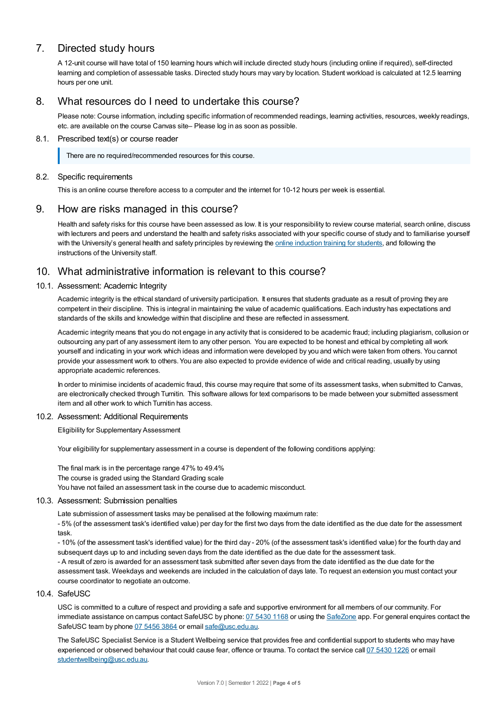# 7. Directed study hours

A 12-unit course will have total of 150 learning hours which will include directed study hours (including online if required), self-directed learning and completion of assessable tasks. Directed study hours may vary by location. Student workload is calculated at 12.5 learning hours per one unit.

# 8. What resources do I need to undertake this course?

Please note: Course information, including specific information of recommended readings, learning activities, resources, weekly readings, etc. are available on the course Canvas site– Please log in as soon as possible.

### 8.1. Prescribed text(s) or course reader

There are no required/recommended resources for this course.

### 8.2. Specific requirements

This is an online course therefore access to a computer and the internet for 10-12 hours per week is essential.

# 9. How are risks managed in this course?

Health and safety risks for this course have been assessed as low. It is your responsibility to review course material, search online, discuss with lecturers and peers and understand the health and safety risks associated with your specific course of study and to familiarise yourself with the University's general health and safety principles by reviewing the online [induction](https://online.usc.edu.au/webapps/blackboard/content/listContentEditable.jsp?content_id=_632657_1&course_id=_14432_1) training for students, and following the instructions of the University staff.

# 10. What administrative information is relevant to this course?

### 10.1. Assessment: Academic Integrity

Academic integrity is the ethical standard of university participation. It ensures that students graduate as a result of proving they are competent in their discipline. This is integral in maintaining the value of academic qualifications. Each industry has expectations and standards of the skills and knowledge within that discipline and these are reflected in assessment.

Academic integrity means that you do not engage in any activity that is considered to be academic fraud; including plagiarism, collusion or outsourcing any part of any assessment item to any other person. You are expected to be honest and ethical by completing all work yourself and indicating in your work which ideas and information were developed by you and which were taken from others. You cannot provide your assessment work to others.You are also expected to provide evidence of wide and critical reading, usually by using appropriate academic references.

In order to minimise incidents of academic fraud, this course may require that some of its assessment tasks, when submitted to Canvas, are electronically checked through Turnitin. This software allows for text comparisons to be made between your submitted assessment item and all other work to which Turnitin has access.

### 10.2. Assessment: Additional Requirements

Eligibility for Supplementary Assessment

Your eligibility for supplementary assessment in a course is dependent of the following conditions applying:

The final mark is in the percentage range 47% to 49.4% The course is graded using the Standard Grading scale You have not failed an assessment task in the course due to academic misconduct.

### 10.3. Assessment: Submission penalties

Late submission of assessment tasks may be penalised at the following maximum rate:

- 5% (of the assessment task's identified value) per day for the first two days from the date identified as the due date for the assessment task.

- 10% (of the assessment task's identified value) for the third day - 20% (of the assessment task's identified value) for the fourth day and subsequent days up to and including seven days from the date identified as the due date for the assessment task.

- A result of zero is awarded for an assessment task submitted after seven days from the date identified as the due date for the assessment task. Weekdays and weekends are included in the calculation of days late. To request an extension you must contact your course coordinator to negotiate an outcome.

### 10.4. SafeUSC

USC is committed to a culture of respect and providing a safe and supportive environment for all members of our community. For immediate assistance on campus contact SafeUSC by phone: 07 [5430](tel:07%205430%201168) 1168 or using the [SafeZone](https://www.safezoneapp.com) app. For general enquires contact the SafeUSC team by phone 07 [5456](tel:07%205456%203864) 3864 or email [safe@usc.edu.au](mailto:safe@usc.edu.au).

The SafeUSC Specialist Service is a Student Wellbeing service that provides free and confidential support to students who may have experienced or observed behaviour that could cause fear, offence or trauma. To contact the service call 07 [5430](tel:07%205430%201226) 1226 or email [studentwellbeing@usc.edu.au](mailto:studentwellbeing@usc.edu.au).